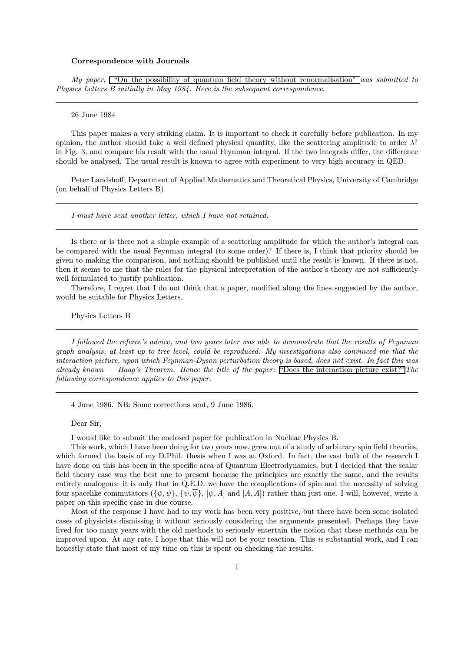## Correspondence with Journals

My paper, ["On the possibility of quantum field theory without renormalisation"](http://www.cgoakley.demon.co.uk/qft/pqftwr.pdf) was submitted to Physics Letters B initially in May 1984. Here is the subsequent correspondence.

#### 26 June 1984

This paper makes a very striking claim. It is important to check it carefully before publication. In my opinion, the author should take a well defined physical quantity, like the scattering amplitude to order  $\lambda^2$ in Fig. 3, and compare his result with the usual Feynman integral. If the two integrals differ, the difference should be analysed. The usual result is known to agree with experiment to very high accuracy in QED.

Peter Landshoff, Department of Applied Mathematics and Theoretical Physics, University of Cambridge (on behalf of Physics Letters B)

I must have sent another letter, which I have not retained.

Is there or is there not a simple example of a scattering amplitude for which the author's integral can be compared with the usual Feynman integral (to some order)? If there is, I think that priority should be given to making the comparison, and nothing should be published until the result is known. If there is not, then it seems to me that the rules for the physical interpretation of the author's theory are not sufficiently well formulated to justify publication.

Therefore, I regret that I do not think that a paper, modified along the lines suggested by the author, would be suitable for Physics Letters.

Physics Letters B

I followed the referee's advice, and two years later was able to demonstrate that the results of Feynman graph analysis, at least up to tree level, could be reproduced. My investigations also convinced me that the interaction picture, upon which Feynman-Dyson perturbation theory is based, does not exist. In fact this was already known – Haag's Theorem. Hence the title of the paper: ["Does the interaction picture exist?"](http://www.cgoakley.demon.co.uk/qft/dipe.pdf) The following correspondence applies to this paper.

4 June 1986. NB: Some corrections sent, 9 June 1986.

Dear Sir,

I would like to submit the enclosed paper for publication in Nuclear Physics B.

This work, which I have been doing for two years now, grew out of a study of arbitrary spin field theories, which formed the basis of my D.Phil. thesis when I was at Oxford. In fact, the vast bulk of the research I have done on this has been in the specific area of Quantum Electrodynamics, but I decided that the scalar field theory case was the best one to present because the principles are exactly the same, and the results entirely analogous: it is only that in Q.E.D. we have the complications of spin and the necessity of solving four spacelike commutators  $(\{\psi, \psi\}, \{\psi, \overline{\psi}\}, \psi, A]$  and  $[A, A]$ ) rather than just one. I will, however, write a paper on this specific case in due course.

Most of the response I have had to my work has been very positive, but there have been some isolated cases of physicists dismissing it without seriously considering the arguments presented. Perhaps they have lived for too many years with the old methods to seriously entertain the notion that these methods can be improved upon. At any rate, I hope that this will not be your reaction. This is substantial work, and I can honestly state that most of my time on this is spent on checking the results.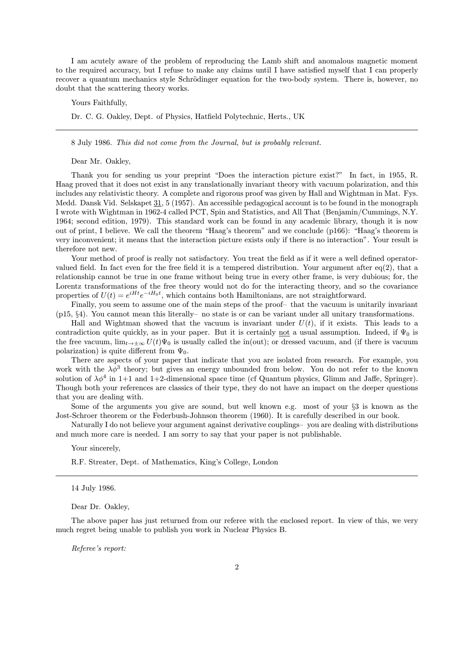I am acutely aware of the problem of reproducing the Lamb shift and anomalous magnetic moment to the required accuracy, but I refuse to make any claims until I have satisfied myself that I can properly recover a quantum mechanics style Schrödinger equation for the two-body system. There is, however, no doubt that the scattering theory works.

Yours Faithfully,

Dr. C. G. Oakley, Dept. of Physics, Hatfield Polytechnic, Herts., UK

8 July 1986. This did not come from the Journal, but is probably relevant.

Dear Mr. Oakley,

Thank you for sending us your preprint "Does the interaction picture exist?" In fact, in 1955, R. Haag proved that it does not exist in any translationally invariant theory with vacuum polarization, and this includes any relativistic theory. A complete and rigorous proof was given by Hall and Wightman in Mat. Fys. Medd. Dansk Vid. Selskapet 31, 5 (1957). An accessible pedagogical account is to be found in the monograph I wrote with Wightman in 1962-4 called PCT, Spin and Statistics, and All That (Benjamin/Cummings, N.Y. 1964; second edition, 1979). This standard work can be found in any academic library, though it is now out of print, I believe. We call the theorem "Haag's theorem" and we conclude (p166): "Haag's theorem is very inconvenient; it means that the interaction picture exists only if there is no interaction". Your result is therefore not new.

Your method of proof is really not satisfactory. You treat the field as if it were a well defined operatorvalued field. In fact even for the free field it is a tempered distribution. Your argument after eq(2), that a relationship cannot be true in one frame without being true in every other frame, is very dubious; for, the Lorentz transformations of the free theory would not do for the interacting theory, and so the covariance properties of  $U(t) = e^{iHt}e^{-iH_0t}$ , which contains both Hamiltonians, are not straightforward.

Finally, you seem to assume one of the main steps of the proof- that the vacuum is unitarily invariant (p15, §4). You cannot mean this literally—no state is or can be variant under all unitary transformations.

Hall and Wightman showed that the vacuum is invariant under  $U(t)$ , if it exists. This leads to a contradiction quite quickly, as in your paper. But it is certainly not a usual assumption. Indeed, if  $\Psi_0$  is the free vacuum,  $\lim_{t\to\pm\infty}U(t)\Psi_0$  is usually called the in(out); or dressed vacuum, and (if there is vacuum polarization) is quite different from  $\Psi_0$ .

There are aspects of your paper that indicate that you are isolated from research. For example, you work with the  $\lambda \phi^3$  theory; but gives an energy unbounded from below. You do not refer to the known solution of  $\lambda \phi^4$  in 1+1 and 1+2-dimensional space time (cf Quantum physics, Glimm and Jaffe, Springer). Though both your references are classics of their type, they do not have an impact on the deeper questions that you are dealing with.

Some of the arguments you give are sound, but well known e.g. most of your §3 is known as the Jost-Schroer theorem or the Federbush-Johnson theorem (1960). It is carefully described in our book.

Naturally I do not believe your argument against derivative couplings—you are dealing with distributions and much more care is needed. I am sorry to say that your paper is not publishable.

Your sincerely,

R.F. Streater, Dept. of Mathematics, King's College, London

14 July 1986.

Dear Dr. Oakley,

The above paper has just returned from our referee with the enclosed report. In view of this, we very much regret being unable to publish you work in Nuclear Physics B.

Referee's report: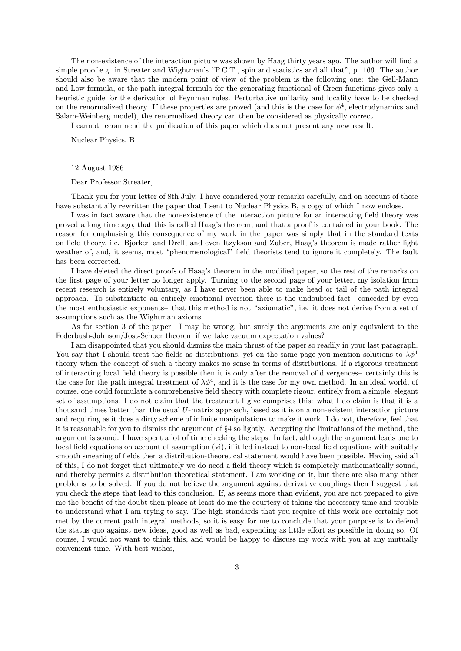The non-existence of the interaction picture was shown by Haag thirty years ago. The author will find a simple proof e.g. in Streater and Wightman's "P.C.T., spin and statistics and all that", p. 166. The author should also be aware that the modern point of view of the problem is the following one: the Gell-Mann and Low formula, or the path-integral formula for the generating functional of Green functions gives only a heuristic guide for the derivation of Feynman rules. Perturbative unitarity and locality have to be checked on the renormalized theory. If these properties are proved (and this is the case for  $\phi^4$ , electrodynamics and Salam-Weinberg model), the renormalized theory can then be considered as physically correct.

I cannot recommend the publication of this paper which does not present any new result.

Nuclear Physics, B

### 12 August 1986

Dear Professor Streater,

Thank-you for your letter of 8th July. I have considered your remarks carefully, and on account of these have substantially rewritten the paper that I sent to Nuclear Physics B, a copy of which I now enclose.

I was in fact aware that the non-existence of the interaction picture for an interacting field theory was proved a long time ago, that this is called Haag's theorem, and that a proof is contained in your book. The reason for emphasising this consequence of my work in the paper was simply that in the standard texts on field theory, i.e. Bjorken and Drell, and even Itzykson and Zuber, Haag's theorem is made rather light weather of, and, it seems, most "phenomenological" field theorists tend to ignore it completely. The fault has been corrected.

I have deleted the direct proofs of Haag's theorem in the modified paper, so the rest of the remarks on the first page of your letter no longer apply. Turning to the second page of your letter, my isolation from recent research is entirely voluntary, as I have never been able to make head or tail of the path integral approach. To substantiate an entirely emotional aversion there is the undoubted fact—conceded by even the most enthusiastic exponents—that this method is not "axiomatic", i.e. it does not derive from a set of assumptions such as the Wightman axioms.

As for section 3 of the paper—I may be wrong, but surely the arguments are only equivalent to the Federbush-Johnson/Jost-Schoer theorem if we take vacuum expectation values?

I am disappointed that you should dismiss the main thrust of the paper so readily in your last paragraph. You say that I should treat the fields as distributions, yet on the same page you mention solutions to  $\lambda \phi^4$ theory when the concept of such a theory makes no sense in terms of distributions. If a rigorous treatment of interacting local field theory is possible then it is only after the removal of divergences—certainly this is the case for the path integral treatment of  $\lambda \phi^4$ , and it is the case for my own method. In an ideal world, of course, one could formulate a comprehensive field theory with complete rigour, entirely from a simple, elegant set of assumptions. I do not claim that the treatment I give comprises this: what I do claim is that it is a thousand times better than the usual U-matrix approach, based as it is on a non-existent interaction picture and requiring as it does a dirty scheme of infinite manipulations to make it work. I do not, therefore, feel that it is reasonable for you to dismiss the argument of §4 so lightly. Accepting the limitations of the method, the argument is sound. I have spent a lot of time checking the steps. In fact, although the argument leads one to local field equations on account of assumption (vi), if it led instead to non-local field equations with suitably smooth smearing of fields then a distribution-theoretical statement would have been possible. Having said all of this, I do not forget that ultimately we do need a field theory which is completely mathematically sound, and thereby permits a distribution theoretical statement. I am working on it, but there are also many other problems to be solved. If you do not believe the argument against derivative couplings then I suggest that you check the steps that lead to this conclusion. If, as seems more than evident, you are not prepared to give me the benefit of the doubt then please at least do me the courtesy of taking the necessary time and trouble to understand what I am trying to say. The high standards that you require of this work are certainly not met by the current path integral methods, so it is easy for me to conclude that your purpose is to defend the status quo against new ideas, good as well as bad, expending as little effort as possible in doing so. Of course, I would not want to think this, and would be happy to discuss my work with you at any mutually convenient time. With best wishes,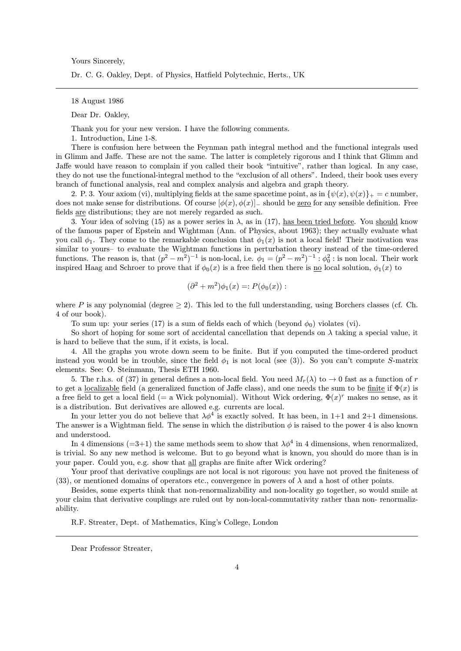Yours Sincerely,

Dr. C. G. Oakley, Dept. of Physics, Hatfield Polytechnic, Herts., UK

18 August 1986

Dear Dr. Oakley,

Thank you for your new version. I have the following comments.

1. Introduction, Line 1-8.

There is confusion here between the Feynman path integral method and the functional integrals used in Glimm and Jaffe. These are not the same. The latter is completely rigorous and I think that Glimm and Jaffe would have reason to complain if you called their book "intuitive", rather than logical. In any case, they do not use the functional-integral method to the "exclusion of all others". Indeed, their book uses every branch of functional analysis, real and complex analysis and algebra and graph theory.

2. P. 3. Your axiom (vi), multiplying fields at the same spacetime point, as in  $\{\psi(x), \psi(x)\}_+ = c$  number, does not make sense for distributions. Of course  $[\phi(x), \phi(x)]$  should be zero for any sensible definition. Free fields are distributions; they are not merely regarded as such.

3. Your idea of solving (15) as a power series in  $\lambda$ , as in (17), has been tried before. You should know of the famous paper of Epstein and Wightman (Ann. of Physics, about 1963); they actually evaluate what you call  $\phi_1$ . They come to the remarkable conclusion that  $\phi_1(x)$  is not a local field! Their motivation was similar to yours- to evaluate the Wightman functions in perturbation theory instead of the time-ordered functions. The reason is, that  $(p^2 - m^2)^{-1}$  is non-local, i.e.  $\phi_1 = (p^2 - m^2)^{-1} : \phi_0^2$ : is non local. Their work inspired Haag and Schroer to prove that if  $\phi_0(x)$  is a free field then there is no local solution,  $\phi_1(x)$  to

$$
(\partial^2 + m^2)\phi_1(x) =: P(\phi_0(x)) :
$$

where P is any polynomial (degree  $\geq$  2). This led to the full understanding, using Borchers classes (cf. Ch. 4 of our book).

To sum up: your series (17) is a sum of fields each of which (beyond  $\phi_0$ ) violates (vi).

So short of hoping for some sort of accidental cancellation that depends on  $\lambda$  taking a special value, it is hard to believe that the sum, if it exists, is local.

4. All the graphs you wrote down seem to be finite. But if you computed the time-ordered product instead you would be in trouble, since the field  $\phi_1$  is not local (see (3)). So you can't compute S-matrix elements. See: O. Steinmann, Thesis ETH 1960.

5. The r.h.s. of (37) in general defines a non-local field. You need  $M_r(\lambda)$  to  $\rightarrow 0$  fast as a function of r to get a localizable field (a generalized function of Jaffe class), and one needs the sum to be finite if  $\Phi(x)$  is a free field to get a local field (= a Wick polynomial). Without Wick ordering,  $\Phi(x)^r$  makes no sense, as it is a distribution. But derivatives are allowed e.g. currents are local.

In your letter you do not believe that  $\lambda \phi^4$  is exactly solved. It has been, in 1+1 and 2+1 dimensions. The answer is a Wightman field. The sense in which the distribution  $\phi$  is raised to the power 4 is also known and understood.

In 4 dimensions (=3+1) the same methods seem to show that  $\lambda \phi^4$  in 4 dimensions, when renormalized, is trivial. So any new method is welcome. But to go beyond what is known, you should do more than is in your paper. Could you, e.g. show that all graphs are finite after Wick ordering?

Your proof that derivative couplings are not local is not rigorous: you have not proved the finiteness of (33), or mentioned domains of operators etc., convergence in powers of  $\lambda$  and a host of other points.

Besides, some experts think that non-renormalizability and non-locality go together, so would smile at your claim that derivative couplings are ruled out by non-local-commutativity rather than non- renormalizability.

R.F. Streater, Dept. of Mathematics, King's College, London

Dear Professor Streater,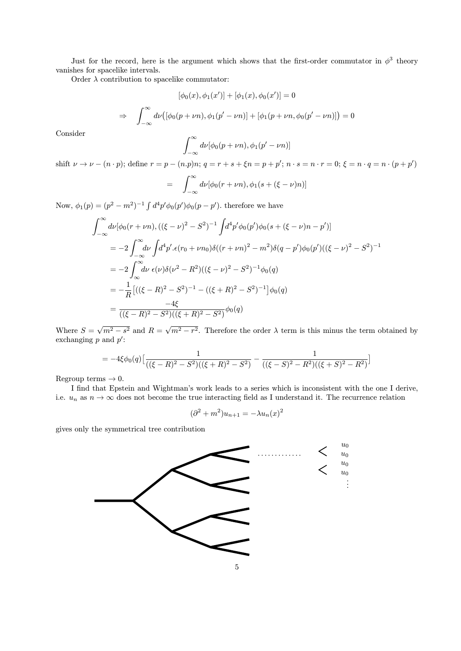Just for the record, here is the argument which shows that the first-order commutator in  $\phi^3$  theory vanishes for spacelike intervals.

Order  $\lambda$  contribution to spacelike commutator:

$$
[\phi_0(x),\phi_1(x')] + [\phi_1(x),\phi_0(x')] = 0
$$

$$
\Rightarrow \quad \int_{-\infty}^{\infty} d\nu \big( [\phi_0(p+\nu n), \phi_1(p'-\nu n)] + [\phi_1(p+\nu n, \phi_0(p'-\nu n)] \big) = 0
$$

Consider

$$
\int_{-\infty}^{\infty} d\nu [\phi_0(p+\nu n), \phi_1(p'-\nu n)]
$$

shift  $\nu \to \nu - (n \cdot p)$ ; define  $r = p - (n \cdot p)n$ ;  $q = r + s + \xi n = p + p'$ ;  $n \cdot s = n \cdot r = 0$ ;  $\xi = n \cdot q = n \cdot (p + p')$ 

$$
= \int_{-\infty}^{\infty} d\nu [\phi_0(r+\nu n), \phi_1(s+(\xi-\nu)n)]
$$

Now,  $\phi_1(p) = (p^2 - m^2)^{-1} \int d^4p' \phi_0(p') \phi_0(p - p')$ , therefore we have

$$
\int_{-\infty}^{\infty} d\nu [\phi_0(r + \nu n), ((\xi - \nu)^2 - S^2)^{-1} \int d^4 p' \phi_0(p') \phi_0(s + (\xi - \nu) n - p')]
$$
  
\n
$$
= -2 \int_{-\infty}^{\infty} d\nu \int d^4 p' . \epsilon(r_0 + \nu n_0) \delta((r + \nu n)^2 - m^2) \delta(q - p') \phi_0(p') ((\xi - \nu)^2 - S^2)^{-1}
$$
  
\n
$$
= -2 \int_{-\infty}^{\infty} d\nu \epsilon(\nu) \delta(\nu^2 - R^2) ((\xi - \nu)^2 - S^2)^{-1} \phi_0(q)
$$
  
\n
$$
= -\frac{1}{R} [((\xi - R)^2 - S^2)^{-1} - ((\xi + R)^2 - S^2)^{-1}] \phi_0(q)
$$
  
\n
$$
= \frac{-4\xi}{((\xi - R)^2 - S^2)((\xi + R)^2 - S^2)} \phi_0(q)
$$

Where  $S = \sqrt{m^2 - s^2}$  and  $R = \sqrt{m^2 - r^2}$ . Therefore the order  $\lambda$  term is this minus the term obtained by exchanging  $p$  and  $p'$ :

$$
= -4\xi \phi_0(q) \left[ \frac{1}{((\xi - R)^2 - S^2)((\xi + R)^2 - S^2)} - \frac{1}{((\xi - S)^2 - R^2)((\xi + S)^2 - R^2)} \right]
$$

Regroup terms  $\rightarrow$  0.

I find that Epstein and Wightman's work leads to a series which is inconsistent with the one I derive, i.e.  $u_n$  as  $n \to \infty$  does not become the true interacting field as I understand it. The recurrence relation

$$
(\partial^2 + m^2)u_{n+1} = -\lambda u_n(x)^2
$$

gives only the symmetrical tree contribution

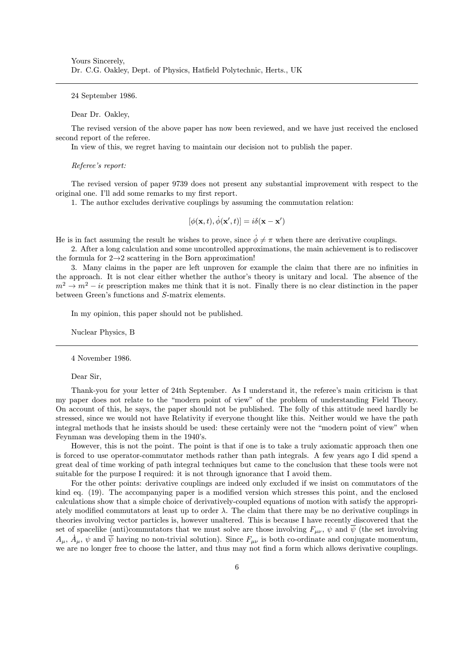24 September 1986.

### Dear Dr. Oakley,

The revised version of the above paper has now been reviewed, and we have just received the enclosed second report of the referee.

In view of this, we regret having to maintain our decision not to publish the paper.

#### Referee's report:

The revised version of paper 9739 does not present any substantial improvement with respect to the original one. I'll add some remarks to my first report.

1. The author excludes derivative couplings by assuming the commutation relation:

$$
[\phi(\mathbf{x},t),\dot{\phi}(\mathbf{x}',t)]=i\delta(\mathbf{x}-\mathbf{x}')
$$

He is in fact assuming the result he wishes to prove, since  $\phi \neq \pi$  when there are derivative couplings.

2. After a long calculation and some uncontrolled approximations, the main achievement is to rediscover the formula for  $2 \rightarrow 2$  scattering in the Born approximation!

3. Many claims in the paper are left unproven for example the claim that there are no infinities in the approach. It is not clear either whether the author's theory is unitary and local. The absence of the  $m^2 \to m^2 - i\epsilon$  prescription makes me think that it is not. Finally there is no clear distinction in the paper between Green's functions and S-matrix elements.

In my opinion, this paper should not be published.

Nuclear Physics, B

4 November 1986.

#### Dear Sir,

Thank-you for your letter of 24th September. As I understand it, the referee's main criticism is that my paper does not relate to the "modern point of view" of the problem of understanding Field Theory. On account of this, he says, the paper should not be published. The folly of this attitude need hardly be stressed, since we would not have Relativity if everyone thought like this. Neither would we have the path integral methods that he insists should be used: these certainly were not the "modern point of view" when Feynman was developing them in the 1940's.

However, this is not the point. The point is that if one is to take a truly axiomatic approach then one is forced to use operator-commutator methods rather than path integrals. A few years ago I did spend a great deal of time working of path integral techniques but came to the conclusion that these tools were not suitable for the purpose I required: it is not through ignorance that I avoid them.

For the other points: derivative couplings are indeed only excluded if we insist on commutators of the kind eq. (19). The accompanying paper is a modified version which stresses this point, and the enclosed calculations show that a simple choice of derivatively-coupled equations of motion with satisfy the appropriately modified commutators at least up to order  $\lambda$ . The claim that there may be no derivative couplings in theories involving vector particles is, however unaltered. This is because I have recently discovered that the set of spacelike (anti)commutators that we must solve are those involving  $F_{\mu\nu}$ ,  $\psi$  and  $\overline{\psi}$  (the set involving  $A_\mu$ ,  $\dot{A}_\mu$ ,  $\psi$  and  $\overline{\psi}$  having no non-trivial solution). Since  $F_{\mu\nu}$  is both co-ordinate and conjugate momentum, we are no longer free to choose the latter, and thus may not find a form which allows derivative couplings.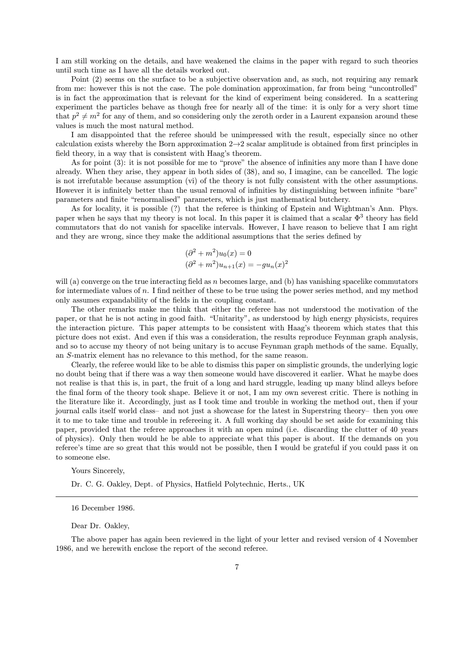I am still working on the details, and have weakened the claims in the paper with regard to such theories until such time as I have all the details worked out.

Point (2) seems on the surface to be a subjective observation and, as such, not requiring any remark from me: however this is not the case. The pole domination approximation, far from being "uncontrolled" is in fact the approximation that is relevant for the kind of experiment being considered. In a scattering experiment the particles behave as though free for nearly all of the time: it is only for a very short time that  $p^2 \neq m^2$  for any of them, and so considering only the zeroth order in a Laurent expansion around these values is much the most natural method.

I am disappointed that the referee should be unimpressed with the result, especially since no other calculation exists whereby the Born approximation  $2\rightarrow 2$  scalar amplitude is obtained from first principles in field theory, in a way that is consistent with Haag's theorem.

As for point (3): it is not possible for me to "prove" the absence of infinities any more than I have done already. When they arise, they appear in both sides of (38), and so, I imagine, can be cancelled. The logic is not irrefutable because assumption (vi) of the theory is not fully consistent with the other assumptions. However it is infinitely better than the usual removal of infinities by distinguishing between infinite "bare" parameters and finite "renormalised" parameters, which is just mathematical butchery.

As for locality, it is possible (?) that the referee is thinking of Epstein and Wightman's Ann. Phys. paper when he says that my theory is not local. In this paper it is claimed that a scalar  $\Phi^3$  theory has field commutators that do not vanish for spacelike intervals. However, I have reason to believe that I am right and they are wrong, since they make the additional assumptions that the series defined by

$$
(\partial^2 + m^2)u_0(x) = 0
$$
  

$$
(\partial^2 + m^2)u_{n+1}(x) = -gu_n(x)^2
$$

will (a) converge on the true interacting field as n becomes large, and (b) has vanishing spacelike commutators for intermediate values of n. I find neither of these to be true using the power series method, and my method only assumes expandability of the fields in the coupling constant.

The other remarks make me think that either the referee has not understood the motivation of the paper, or that he is not acting in good faith. "Unitarity", as understood by high energy physicists, requires the interaction picture. This paper attempts to be consistent with Haag's theorem which states that this picture does not exist. And even if this was a consideration, the results reproduce Feynman graph analysis, and so to accuse my theory of not being unitary is to accuse Feynman graph methods of the same. Equally, an S-matrix element has no relevance to this method, for the same reason.

Clearly, the referee would like to be able to dismiss this paper on simplistic grounds, the underlying logic no doubt being that if there was a way then someone would have discovered it earlier. What he maybe does not realise is that this is, in part, the fruit of a long and hard struggle, leading up many blind alleys before the final form of the theory took shape. Believe it or not, I am my own severest critic. There is nothing in the literature like it. Accordingly, just as I took time and trouble in working the method out, then if your journal calls itself world class—and not just a showcase for the latest in Superstring theory—then you owe it to me to take time and trouble in refereeing it. A full working day should be set aside for examining this paper, provided that the referee approaches it with an open mind (i.e. discarding the clutter of 40 years of physics). Only then would he be able to appreciate what this paper is about. If the demands on you referee's time are so great that this would not be possible, then I would be grateful if you could pass it on to someone else.

### Yours Sincerely,

Dr. C. G. Oakley, Dept. of Physics, Hatfield Polytechnic, Herts., UK

16 December 1986.

Dear Dr. Oakley,

The above paper has again been reviewed in the light of your letter and revised version of 4 November 1986, and we herewith enclose the report of the second referee.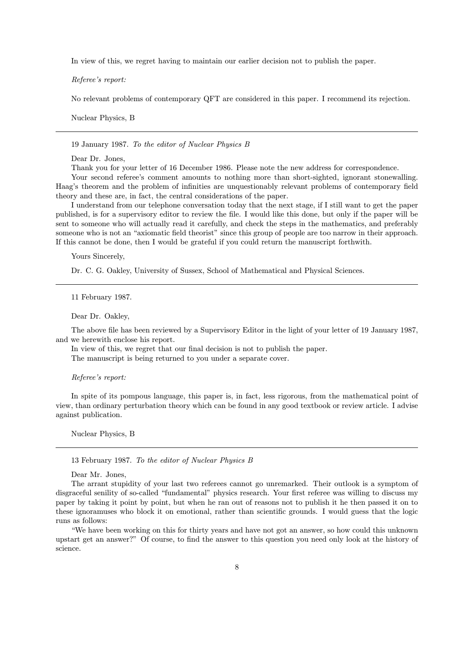In view of this, we regret having to maintain our earlier decision not to publish the paper.

Referee's report:

No relevant problems of contemporary QFT are considered in this paper. I recommend its rejection.

Nuclear Physics, B

19 January 1987. To the editor of Nuclear Physics B

Dear Dr. Jones,

Thank you for your letter of 16 December 1986. Please note the new address for correspondence.

Your second referee's comment amounts to nothing more than short-sighted, ignorant stonewalling. Haag's theorem and the problem of infinities are unquestionably relevant problems of contemporary field theory and these are, in fact, the central considerations of the paper.

I understand from our telephone conversation today that the next stage, if I still want to get the paper published, is for a supervisory editor to review the file. I would like this done, but only if the paper will be sent to someone who will actually read it carefully, and check the steps in the mathematics, and preferably someone who is not an "axiomatic field theorist" since this group of people are too narrow in their approach. If this cannot be done, then I would be grateful if you could return the manuscript forthwith.

Yours Sincerely,

Dr. C. G. Oakley, University of Sussex, School of Mathematical and Physical Sciences.

11 February 1987.

Dear Dr. Oakley,

The above file has been reviewed by a Supervisory Editor in the light of your letter of 19 January 1987, and we herewith enclose his report.

In view of this, we regret that our final decision is not to publish the paper.

The manuscript is being returned to you under a separate cover.

Referee's report:

In spite of its pompous language, this paper is, in fact, less rigorous, from the mathematical point of view, than ordinary perturbation theory which can be found in any good textbook or review article. I advise against publication.

Nuclear Physics, B

13 February 1987. To the editor of Nuclear Physics B

Dear Mr. Jones,

The arrant stupidity of your last two referees cannot go unremarked. Their outlook is a symptom of disgraceful senility of so-called "fundamental" physics research. Your first referee was willing to discuss my paper by taking it point by point, but when he ran out of reasons not to publish it he then passed it on to these ignoramuses who block it on emotional, rather than scientific grounds. I would guess that the logic runs as follows:

"We have been working on this for thirty years and have not got an answer, so how could this unknown upstart get an answer?" Of course, to find the answer to this question you need only look at the history of science.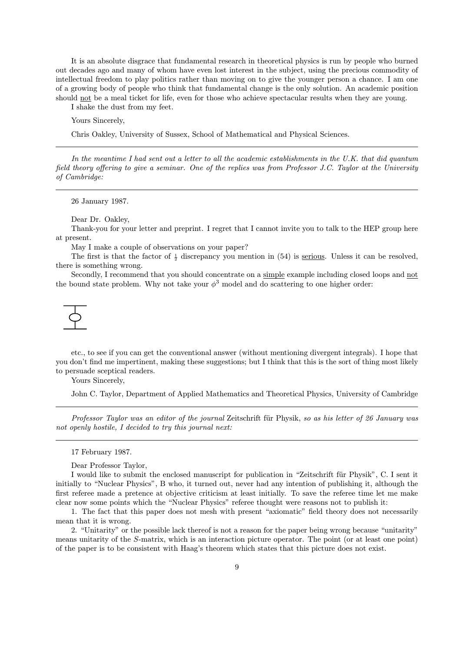It is an absolute disgrace that fundamental research in theoretical physics is run by people who burned out decades ago and many of whom have even lost interest in the subject, using the precious commodity of intellectual freedom to play politics rather than moving on to give the younger person a chance. I am one of a growing body of people who think that fundamental change is the only solution. An academic position should not be a meal ticket for life, even for those who achieve spectacular results when they are young.

I shake the dust from my feet.

Yours Sincerely,

Chris Oakley, University of Sussex, School of Mathematical and Physical Sciences.

In the meantime I had sent out a letter to all the academic establishments in the U.K. that did quantum field theory offering to give a seminar. One of the replies was from Professor J.C. Taylor at the University of Cambridge:

26 January 1987.

Dear Dr. Oakley,

Thank-you for your letter and preprint. I regret that I cannot invite you to talk to the HEP group here at present.

May I make a couple of observations on your paper?

The first is that the factor of  $\frac{1}{2}$  discrepancy you mention in (54) is <u>serious</u>. Unless it can be resolved, there is something wrong.

Secondly, I recommend that you should concentrate on a simple example including closed loops and not the bound state problem. Why not take your  $\phi^3$  model and do scattering to one higher order:

etc., to see if you can get the conventional answer (without mentioning divergent integrals). I hope that you don't find me impertinent, making these suggestions; but I think that this is the sort of thing most likely to persuade sceptical readers.

Yours Sincerely,

John C. Taylor, Department of Applied Mathematics and Theoretical Physics, University of Cambridge

Professor Taylor was an editor of the journal Zeitschrift für Physik, so as his letter of 26 January was not openly hostile, I decided to try this journal next:

17 February 1987.

Dear Professor Taylor,

I would like to submit the enclosed manuscript for publication in "Zeitschrift für Physik", C. I sent it initially to "Nuclear Physics", B who, it turned out, never had any intention of publishing it, although the first referee made a pretence at objective criticism at least initially. To save the referee time let me make clear now some points which the "Nuclear Physics" referee thought were reasons not to publish it:

1. The fact that this paper does not mesh with present "axiomatic" field theory does not necessarily mean that it is wrong.

2. "Unitarity" or the possible lack thereof is not a reason for the paper being wrong because "unitarity" means unitarity of the S-matrix, which is an interaction picture operator. The point (or at least one point) of the paper is to be consistent with Haag's theorem which states that this picture does not exist.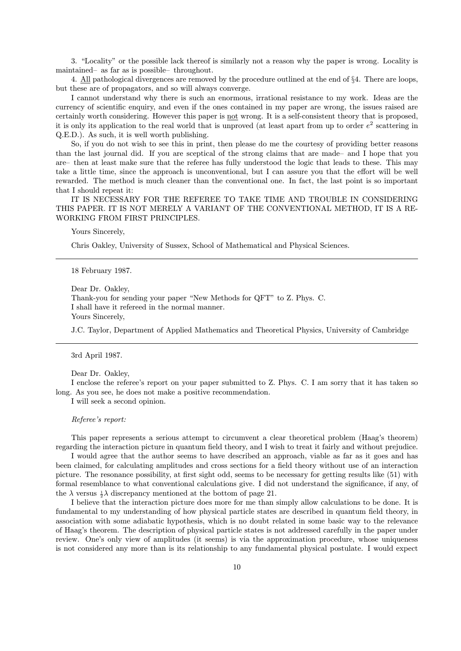3. "Locality" or the possible lack thereof is similarly not a reason why the paper is wrong. Locality is maintained—as far as is possible—throughout.

4. All pathological divergences are removed by the procedure outlined at the end of §4. There are loops, but these are of propagators, and so will always converge.

I cannot understand why there is such an enormous, irrational resistance to my work. Ideas are the currency of scientific enquiry, and even if the ones contained in my paper are wrong, the issues raised are certainly worth considering. However this paper is not wrong. It is a self-consistent theory that is proposed, it is only its application to the real world that is unproved (at least apart from up to order  $e^2$  scattering in Q.E.D.). As such, it is well worth publishing.

So, if you do not wish to see this in print, then please do me the courtesy of providing better reasons than the last journal did. If you are sceptical of the strong claims that are made—and I hope that you are—then at least make sure that the referee has fully understood the logic that leads to these. This may take a little time, since the approach is unconventional, but I can assure you that the effort will be well rewarded. The method is much cleaner than the conventional one. In fact, the last point is so important that I should repeat it:

IT IS NECESSARY FOR THE REFEREE TO TAKE TIME AND TROUBLE IN CONSIDERING THIS PAPER. IT IS NOT MERELY A VARIANT OF THE CONVENTIONAL METHOD, IT IS A RE-WORKING FROM FIRST PRINCIPLES.

# Yours Sincerely,

Chris Oakley, University of Sussex, School of Mathematical and Physical Sciences.

18 February 1987.

Dear Dr. Oakley,

Thank-you for sending your paper "New Methods for QFT" to Z. Phys. C. I shall have it refereed in the normal manner. Yours Sincerely,

J.C. Taylor, Department of Applied Mathematics and Theoretical Physics, University of Cambridge

3rd April 1987.

Dear Dr. Oakley,

I enclose the referee's report on your paper submitted to Z. Phys. C. I am sorry that it has taken so long. As you see, he does not make a positive recommendation.

I will seek a second opinion.

Referee's report:

This paper represents a serious attempt to circumvent a clear theoretical problem (Haag's theorem) regarding the interaction picture in quantum field theory, and I wish to treat it fairly and without prejudice.

I would agree that the author seems to have described an approach, viable as far as it goes and has been claimed, for calculating amplitudes and cross sections for a field theory without use of an interaction picture. The resonance possibility, at first sight odd, seems to be necessary for getting results like (51) with formal resemblance to what conventional calculations give. I did not understand the significance, if any, of the  $\lambda$  versus  $\frac{1}{2}\lambda$  discrepancy mentioned at the bottom of page 21.

I believe that the interaction picture does more for me than simply allow calculations to be done. It is fundamental to my understanding of how physical particle states are described in quantum field theory, in association with some adiabatic hypothesis, which is no doubt related in some basic way to the relevance of Haag's theorem. The description of physical particle states is not addressed carefully in the paper under review. One's only view of amplitudes (it seems) is via the approximation procedure, whose uniqueness is not considered any more than is its relationship to any fundamental physical postulate. I would expect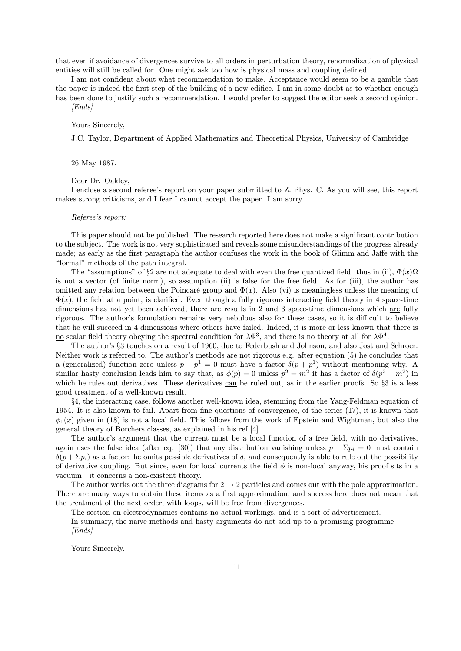that even if avoidance of divergences survive to all orders in perturbation theory, renormalization of physical entities will still be called for. One might ask too how is physical mass and coupling defined.

I am not confident about what recommendation to make. Acceptance would seem to be a gamble that the paper is indeed the first step of the building of a new edifice. I am in some doubt as to whether enough has been done to justify such a recommendation. I would prefer to suggest the editor seek a second opinion. [Ends]

Yours Sincerely,

J.C. Taylor, Department of Applied Mathematics and Theoretical Physics, University of Cambridge

26 May 1987.

Dear Dr. Oakley,

I enclose a second referee's report on your paper submitted to Z. Phys. C. As you will see, this report makes strong criticisms, and I fear I cannot accept the paper. I am sorry.

Referee's report:

This paper should not be published. The research reported here does not make a significant contribution to the subject. The work is not very sophisticated and reveals some misunderstandings of the progress already made; as early as the first paragraph the author confuses the work in the book of Glimm and Jaffe with the "formal" methods of the path integral.

The "assumptions" of §2 are not adequate to deal with even the free quantized field: thus in (ii),  $\Phi(x)$  $\Omega$ is not a vector (of finite norm), so assumption (ii) is false for the free field. As for (iii), the author has omitted any relation between the Poincaré group and  $\Phi(x)$ . Also (vi) is meaningless unless the meaning of  $\Phi(x)$ , the field at a point, is clarified. Even though a fully rigorous interacting field theory in 4 space-time dimensions has not yet been achieved, there are results in 2 and 3 space-time dimensions which are fully rigorous. The author's formulation remains very nebulous also for these cases, so it is difficult to believe that he will succeed in 4 dimensions where others have failed. Indeed, it is more or less known that there is <u>no</u> scalar field theory obeying the spectral condition for  $\lambda \Phi^3$ , and there is no theory at all for  $\lambda \Phi^4$ .

The author's §3 touches on a result of 1960, due to Federbush and Johnson, and also Jost and Schroer. Neither work is referred to. The author's methods are not rigorous e.g. after equation (5) he concludes that a (generalized) function zero unless  $p + p^1 = 0$  must have a factor  $\delta(p + p^1)$  without mentioning why. A similar hasty conclusion leads him to say that, as  $\phi(p) = 0$  unless  $p^2 = m^2$  it has a factor of  $\delta(p^2 - m^2)$  in which he rules out derivatives. These derivatives can be ruled out, as in the earlier proofs. So §3 is a less good treatment of a well-known result.

§4, the interacting case, follows another well-known idea, stemming from the Yang-Feldman equation of 1954. It is also known to fail. Apart from fine questions of convergence, of the series (17), it is known that  $\phi_1(x)$  given in (18) is not a local field. This follows from the work of Epstein and Wightman, but also the general theory of Borchers classes, as explained in his ref [4].

The author's argument that the current must be a local function of a free field, with no derivatives, again uses the false idea (after eq. [30]) that any distribution vanishing unless  $p + \Sigma p_i = 0$  must contain  $\delta(p + \Sigma p_i)$  as a factor: he omits possible derivatives of  $\delta$ , and consequently is able to rule out the possibility of derivative coupling. But since, even for local currents the field  $\phi$  is non-local anyway, his proof sits in a vacuum—it concerns a non-existent theory.

The author works out the three diagrams for  $2 \rightarrow 2$  particles and comes out with the pole approximation. There are many ways to obtain these items as a first approximation, and success here does not mean that the treatment of the next order, with loops, will be free from divergences.

The section on electrodynamics contains no actual workings, and is a sort of advertisement.

In summary, the naïve methods and hasty arguments do not add up to a promising programme. [Ends]

Yours Sincerely,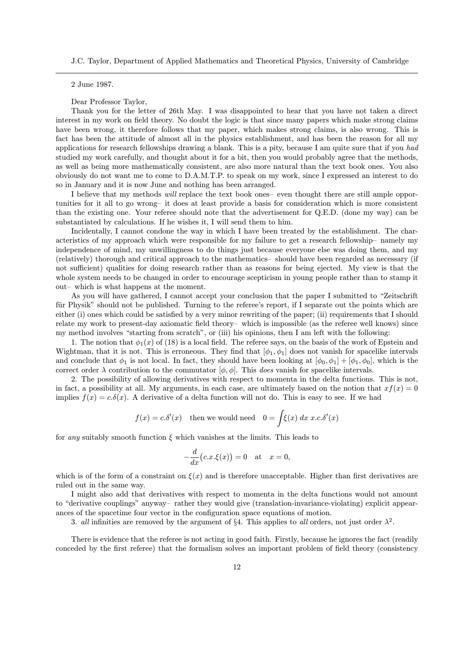J.C. Taylor, Department of Applied Mathematics and Theoretical Physics, University of Cambridge

2 June 1987.

Dear Professor Taylor,

Thank you for the letter of 26th May. I was disappointed to hear that you have not taken a direct interest in my work on field theory. No doubt the logic is that since many papers which make strong claims have been wrong, it therefore follows that my paper, which makes strong claims, is also wrong. This is fact has been the attitude of almost all in the physics establishment, and has been the reason for all my applications for research fellowships drawing a blank. This is a pity, because I am quite sure that if you had studied my work carefully, and thought about it for a bit, then you would probably agree that the methods, as well as being more mathematically consistent, are also more natural than the text book ones. You also obviously do not want me to come to D.A.M.T.P. to speak on my work, since I expressed an interest to do so in January and it is now June and nothing has been arranged.

I believe that my methods will replace the text book ones- even thought there are still ample opportunities for it all to go wrong—it does at least provide a basis for consideration which is more consistent than the existing one. Your referee should note that the advertisement for Q.E.D. (done my way) can be substantiated by calculations. If he wishes it, I will send them to him.

Incidentally, I cannot condone the way in which I have been treated by the establishment. The characteristics of my approach which were responsible for my failure to get a research fellowship—namely my independence of mind, my unwillingness to do things just because everyone else was doing them, and my (relatively) thorough and critical approach to the mathematics—should have been regarded as necessary (if not sufficient) qualities for doing research rather than as reasons for being ejected. My view is that the whole system needs to be changed in order to encourage scepticism in young people rather than to stamp it out—which is what happens at the moment.

As you will have gathered, I cannot accept your conclusion that the paper I submitted to "Zeitschrift für Physik" should not be published. Turning to the referee's report, if I separate out the points which are either (i) ones which could be satisfied by a very minor rewriting of the paper; (ii) requirements that I should relate my work to present-day axiomatic field theory—which is impossible (as the referee well knows) since my method involves "starting from scratch", or (iii) his opinions, then I am left with the following:

1. The notion that  $\phi_1(x)$  of (18) is a local field. The referee says, on the basis of the work of Epstein and Wightman, that it is not. This is erroneous. They find that  $[\phi_1, \phi_1]$  does not vanish for spacelike intervals and conclude that  $\phi_1$  is not local. In fact, they should have been looking at  $[\phi_0, \phi_1] + [\phi_1, \phi_0]$ , which is the correct order  $\lambda$  contribution to the commutator  $[\phi, \phi]$ . This *does* vanish for spacelike intervals.

2. The possibility of allowing derivatives with respect to momenta in the delta functions. This is not, in fact, a possibility at all. My arguments, in each case, are ultimately based on the notion that  $xf(x) = 0$ implies  $f(x) = c.\delta(x)$ . A derivative of a delta function will not do. This is easy to see. If we had

$$
f(x) = c.\delta'(x)
$$
 then we would need  $0 = \int \xi(x) dx \, x.c.\delta'(x)$ 

for any suitably smooth function  $\xi$  which vanishes at the limits. This leads to

$$
-\frac{d}{dx}(c.x.\xi(x)) = 0 \quad \text{at} \quad x = 0,
$$

which is of the form of a constraint on  $\xi(x)$  and is therefore unacceptable. Higher than first derivatives are ruled out in the same way.

I might also add that derivatives with respect to momenta in the delta functions would not amount to "derivative couplings" anyway—rather they would give (translation-invariance-violating) explicit appearances of the spacetime four vector in the configuration space equations of motion.

3. all infinities are removed by the argument of §4. This applies to all orders, not just order  $\lambda^2$ .

There is evidence that the referee is not acting in good faith. Firstly, because he ignores the fact (readily conceded by the first referee) that the formalism solves an important problem of field theory (consistency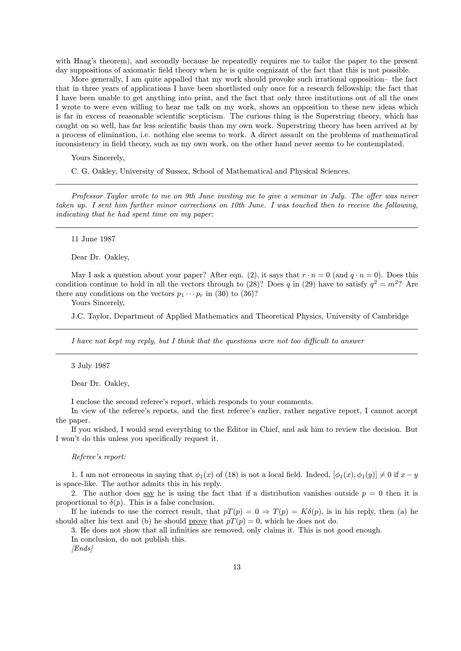with Haag's theorem), and secondly because he repeatedly requires me to tailor the paper to the present day suppositions of axiomatic field theory when he is quite cognizant of the fact that this is not possible.

More generally, I am quite appalled that my work should provoke such irrational opposition- the fact that in three years of applications I have been shortlisted only once for a research fellowship; the fact that I have been unable to get anything into print, and the fact that only three institutions out of all the ones I wrote to were even willing to hear me talk on my work, shows an opposition to these new ideas which is far in excess of reasonable scientific scepticism. The curious thing is the Superstring theory, which has caught on so well, has far less scientific basis than my own work. Superstring theory has been arrived at by a process of elimination, i.e. nothing else seems to work. A direct assault on the problems of mathematical inconsistency in field theory, such as my own work, on the other hand never seems to be contemplated.

Yours Sincerely,

C. G. Oakley, University of Sussex, School of Mathematical and Physical Sciences.

Professor Taylor wrote to me on 9th June inviting me to give a seminar in July. The offer was never taken up. I sent him further minor corrections on 10th June. I was touched then to receive the following, indicating that he had spent time on my paper:

11 June 1987

Dear Dr. Oakley,

May I ask a question about your paper? After eqn. (2), it says that  $r \cdot n = 0$  (and  $q \cdot n = 0$ ). Does this condition continue to hold in all the vectors through to (28)? Does q in (29) have to satisfy  $q^2 = m^2$ ? Are there any conditions on the vectors  $p_1 \cdots p_r$  in (30) to (36)?

Yours Sincerely,

J.C. Taylor, Department of Applied Mathematics and Theoretical Physics, University of Cambridge

I have not kept my reply, but I think that the questions were not too difficult to answer

3 July 1987

Dear Dr. Oakley,

I enclose the second referee's report, which responds to your comments.

In view of the referee's reports, and the first referee's earlier, rather negative report, I cannot accept the paper.

If you wished, I would send everything to the Editor in Chief, and ask him to review the decision. But I won't do this unless you specifically request it.

Referee's report:

1. I am not erroneous in saying that  $\phi_1(x)$  of (18) is not a local field. Indeed,  $[\phi_1(x), \phi_1(y)] \neq 0$  if  $x - y$ is space-like. The author admits this in his reply.

2. The author does say he is using the fact that if a distribution vanishes outside  $p = 0$  then it is proportional to  $\delta(p)$ . This is a false conclusion.

If he intends to use the correct result, that  $pT(p) = 0 \Rightarrow T(p) = K\delta(p)$ , is in his reply, then (a) he should alter his text and (b) he should prove that  $pT(p) = 0$ , which he does not do.

3. He does not show that all infinities are removed, only claims it. This is not good enough.

In conclusion, do not publish this.

 $[Ends]$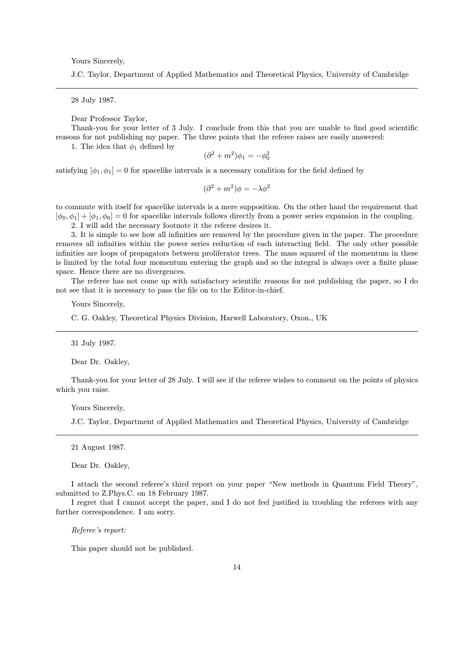Yours Sincerely,

J.C. Taylor, Department of Applied Mathematics and Theoretical Physics, University of Cambridge

28 July 1987.

Dear Professor Taylor,

Thank-you for your letter of 3 July. I conclude from this that you are unable to find good scientific reasons for not publishing my paper. The three points that the referee raises are easily answered:

1. The idea that  $\phi_1$  defined by

$$
(\partial^2 + m^2)\phi_1 = -\phi_0^2
$$

satisfying  $[\phi_1, \phi_1] = 0$  for spacelike intervals is a necessary condition for the field defined by

$$
(\partial^2 + m^2)\phi = -\lambda\phi^2
$$

to commute with itself for spacelike intervals is a mere supposition. On the other hand the requirement that  $[\phi_0, \phi_1] + [\phi_1, \phi_0] = 0$  for spacelike intervals follows directly from a power series expansion in the coupling.

2. I will add the necessary footnote it the referee desires it.

3. It is simple to see how all infinities are removed by the procedure given in the paper. The procedure removes all infinities within the power series reduction of each interacting field. The only other possible infinities are loops of propagators between proliferator trees. The mass squared of the momentum in these is limited by the total four momentum entering the graph and so the integral is always over a finite phase space. Hence there are no divergences.

The referee has not come up with satisfactory scientific reasons for not publishing the paper, so I do not see that it is necessary to pass the file on to the Editor-in-chief.

Yours Sincerely,

C. G. Oakley, Theoretical Physics Division, Harwell Laboratory, Oxon., UK

31 July 1987.

Dear Dr. Oakley,

Thank-you for your letter of 28 July. I will see if the referee wishes to comment on the points of physics which you raise.

Yours Sincerely,

J.C. Taylor, Department of Applied Mathematics and Theoretical Physics, University of Cambridge

21 August 1987.

Dear Dr. Oakley,

I attach the second referee's third report on your paper "New methods in Quantum Field Theory", submitted to Z.Phys.C. on 18 February 1987.

I regret that I cannot accept the paper, and I do not feel justified in troubling the referees with any further correspondence. I am sorry.

Referee's report:

This paper should not be published.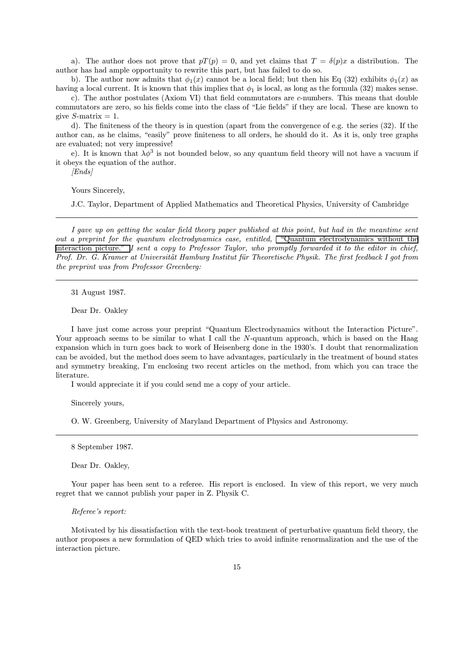a). The author does not prove that  $pT(p) = 0$ , and yet claims that  $T = \delta(p)x$  a distribution. The author has had ample opportunity to rewrite this part, but has failed to do so.

b). The author now admits that  $\phi_1(x)$  cannot be a local field; but then his Eq (32) exhibits  $\phi_1(x)$  as having a local current. It is known that this implies that  $\phi_1$  is local, as long as the formula (32) makes sense.

c). The author postulates (Axiom VI) that field commutators are  $c$ -numbers. This means that double commutators are zero, so his fields come into the class of "Lie fields" if they are local. These are known to give  $S$ -matrix  $= 1$ .

d). The finiteness of the theory is in question (apart from the convergence of e.g. the series (32). If the author can, as he claims, "easily" prove finiteness to all orders, he should do it. As it is, only tree graphs are evaluated; not very impressive!

e). It is known that  $\lambda \phi^3$  is not bounded below, so any quantum field theory will not have a vacuum if it obeys the equation of the author.

[Ends]

Yours Sincerely,

J.C. Taylor, Department of Applied Mathematics and Theoretical Physics, University of Cambridge

I gave up on getting the scalar field theory paper published at this point, but had in the meantime sent out a preprint for the quantum electrodynamics case, entitled, ["Quantum electrodynamics without the](http://www.cgoakley.demon.co.uk/qft/qedwip.pdf) [interaction picture."](http://www.cgoakley.demon.co.uk/qft/qedwip.pdf) I sent a copy to Professor Taylor, who promptly forwarded it to the editor in chief, Prof. Dr. G. Kramer at Universität Hamburg Institut für Theoretische Physik. The first feedback I got from the preprint was from Professor Greenberg:

31 August 1987.

Dear Dr. Oakley

I have just come across your preprint "Quantum Electrodynamics without the Interaction Picture". Your approach seems to be similar to what I call the N-quantum approach, which is based on the Haag expansion which in turn goes back to work of Heisenberg done in the 1930's. I doubt that renormalization can be avoided, but the method does seem to have advantages, particularly in the treatment of bound states and symmetry breaking, I'm enclosing two recent articles on the method, from which you can trace the literature.

I would appreciate it if you could send me a copy of your article.

Sincerely yours,

O. W. Greenberg, University of Maryland Department of Physics and Astronomy.

8 September 1987.

Dear Dr. Oakley,

Your paper has been sent to a referee. His report is enclosed. In view of this report, we very much regret that we cannot publish your paper in Z. Physik C.

# Referee's report:

Motivated by his dissatisfaction with the text-book treatment of perturbative quantum field theory, the author proposes a new formulation of QED which tries to avoid infinite renormalization and the use of the interaction picture.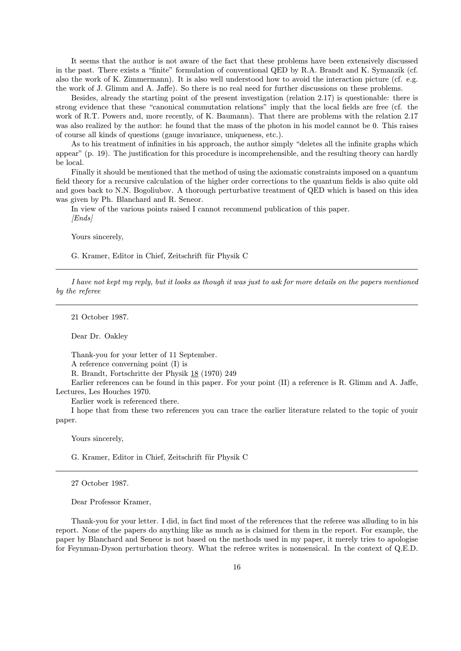It seems that the author is not aware of the fact that these problems have been extensively discussed in the past. There exists a "finite" formulation of conventional QED by R.A. Brandt and K. Symanzik (cf. also the work of K. Zimmermann). It is also well understood how to avoid the interaction picture (cf. e.g. the work of J. Glimm and A. Jaffe). So there is no real need for further discussions on these problems.

Besides, already the starting point of the present investigation (relation 2.17) is questionable: there is strong evidence that these "canonical commutation relations" imply that the local fields are free (cf. the work of R.T. Powers and, more recently, of K. Baumann). That there are problems with the relation 2.17 was also realized by the author: he found that the mass of the photon in his model cannot be 0. This raises of course all kinds of questions (gauge invariance, uniqueness, etc.).

As to his treatment of infinities in his approach, the author simply "deletes all the infinite graphs which appear" (p. 19). The justification for this procedure is incomprehensible, and the resulting theory can hardly be local.

Finally it should be mentioned that the method of using the axiomatic constraints imposed on a quantum field theory for a recursive calculation of the higher order corrections to the quantum fields is also quite old and goes back to N.N. Bogoliubov. A thorough perturbative treatment of QED which is based on this idea was given by Ph. Blanchard and R. Seneor.

In view of the various points raised I cannot recommend publication of this paper. [Ends]

Yours sincerely,

G. Kramer, Editor in Chief, Zeitschrift für Physik C

I have not kept my reply, but it looks as though it was just to ask for more details on the papers mentioned by the referee

21 October 1987.

Dear Dr. Oakley

Thank-you for your letter of 11 September.

A reference converning point (I) is

R. Brandt, Fortschritte der Physik 18 (1970) 249

Earlier references can be found in this paper. For your point (II) a reference is R. Glimm and A. Jaffe, Lectures, Les Houches 1970.

Earlier work is referenced there.

I hope that from these two references you can trace the earlier literature related to the topic of youir paper.

Yours sincerely,

G. Kramer, Editor in Chief, Zeitschrift für Physik C

27 October 1987.

Dear Professor Kramer,

Thank-you for your letter. I did, in fact find most of the references that the referee was alluding to in his report. None of the papers do anything like as much as is claimed for them in the report. For example, the paper by Blanchard and Seneor is not based on the methods used in my paper, it merely tries to apologise for Feynman-Dyson perturbation theory. What the referee writes is nonsensical. In the context of Q.E.D.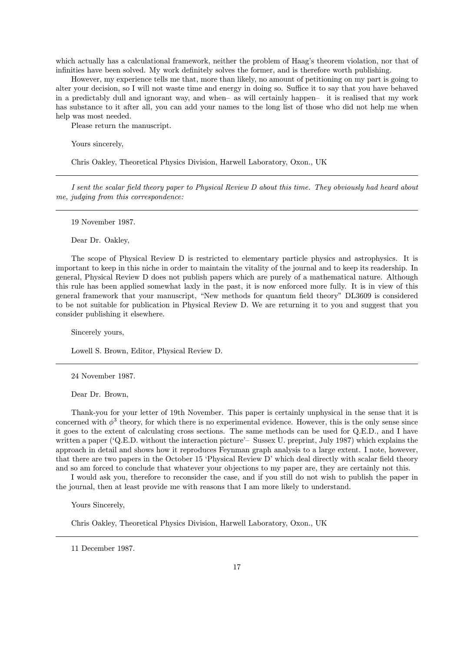which actually has a calculational framework, neither the problem of Haag's theorem violation, nor that of infinities have been solved. My work definitely solves the former, and is therefore worth publishing.

However, my experience tells me that, more than likely, no amount of petitioning on my part is going to alter your decision, so I will not waste time and energy in doing so. Suffice it to say that you have behaved in a predictably dull and ignorant way, and when—as will certainly happen— it is realised that my work has substance to it after all, you can add your names to the long list of those who did not help me when help was most needed.

Please return the manuscript.

Yours sincerely,

Chris Oakley, Theoretical Physics Division, Harwell Laboratory, Oxon., UK

I sent the scalar field theory paper to Physical Review D about this time. They obviously had heard about me, judging from this correspondence:

19 November 1987.

Dear Dr. Oakley,

The scope of Physical Review D is restricted to elementary particle physics and astrophysics. It is important to keep in this niche in order to maintain the vitality of the journal and to keep its readership. In general, Physical Review D does not publish papers which are purely of a mathematical nature. Although this rule has been applied somewhat laxly in the past, it is now enforced more fully. It is in view of this general framework that your manuscript, "New methods for quantum field theory" DL3609 is considered to be not suitable for publication in Physical Review D. We are returning it to you and suggest that you consider publishing it elsewhere.

Sincerely yours,

Lowell S. Brown, Editor, Physical Review D.

24 November 1987.

Dear Dr. Brown,

Thank-you for your letter of 19th November. This paper is certainly unphysical in the sense that it is concerned with  $\phi^3$  theory, for which there is no experimental evidence. However, this is the only sense since it goes to the extent of calculating cross sections. The same methods can be used for Q.E.D., and I have written a paper ('Q.E.D. without the interaction picture'– Sussex U. preprint, July 1987) which explains the approach in detail and shows how it reproduces Feynman graph analysis to a large extent. I note, however, that there are two papers in the October 15 'Physical Review D' which deal directly with scalar field theory and so am forced to conclude that whatever your objections to my paper are, they are certainly not this.

I would ask you, therefore to reconsider the case, and if you still do not wish to publish the paper in the journal, then at least provide me with reasons that I am more likely to understand.

Yours Sincerely,

Chris Oakley, Theoretical Physics Division, Harwell Laboratory, Oxon., UK

11 December 1987.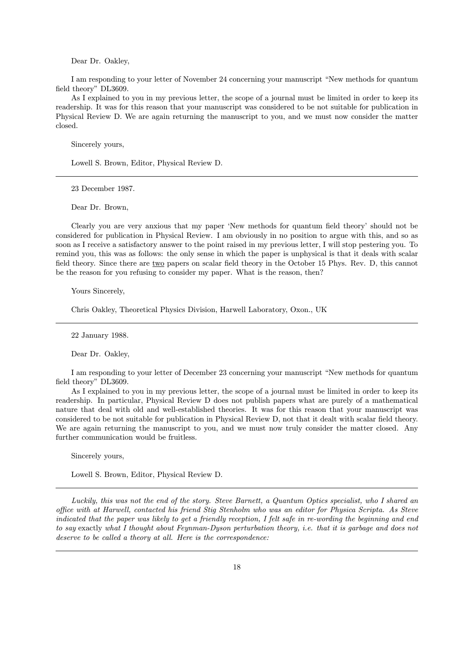Dear Dr. Oakley,

I am responding to your letter of November 24 concerning your manuscript "New methods for quantum field theory" DL3609.

As I explained to you in my previous letter, the scope of a journal must be limited in order to keep its readership. It was for this reason that your manuscript was considered to be not suitable for publication in Physical Review D. We are again returning the manuscript to you, and we must now consider the matter closed.

Sincerely yours,

Lowell S. Brown, Editor, Physical Review D.

23 December 1987.

Dear Dr. Brown,

Clearly you are very anxious that my paper 'New methods for quantum field theory' should not be considered for publication in Physical Review. I am obviously in no position to argue with this, and so as soon as I receive a satisfactory answer to the point raised in my previous letter, I will stop pestering you. To remind you, this was as follows: the only sense in which the paper is unphysical is that it deals with scalar field theory. Since there are two papers on scalar field theory in the October 15 Phys. Rev. D, this cannot be the reason for you refusing to consider my paper. What is the reason, then?

Yours Sincerely,

Chris Oakley, Theoretical Physics Division, Harwell Laboratory, Oxon., UK

22 January 1988.

Dear Dr. Oakley,

I am responding to your letter of December 23 concerning your manuscript "New methods for quantum field theory" DL3609.

As I explained to you in my previous letter, the scope of a journal must be limited in order to keep its readership. In particular, Physical Review D does not publish papers what are purely of a mathematical nature that deal with old and well-established theories. It was for this reason that your manuscript was considered to be not suitable for publication in Physical Review D, not that it dealt with scalar field theory. We are again returning the manuscript to you, and we must now truly consider the matter closed. Any further communication would be fruitless.

Sincerely yours,

Lowell S. Brown, Editor, Physical Review D.

Luckily, this was not the end of the story. Steve Barnett, a Quantum Optics specialist, who I shared an office with at Harwell, contacted his friend Stig Stenholm who was an editor for Physica Scripta. As Steve indicated that the paper was likely to get a friendly reception, I felt safe in re-wording the beginning and end to say exactly what I thought about Feynman-Dyson perturbation theory, i.e. that it is garbage and does not deserve to be called a theory at all. Here is the correspondence: